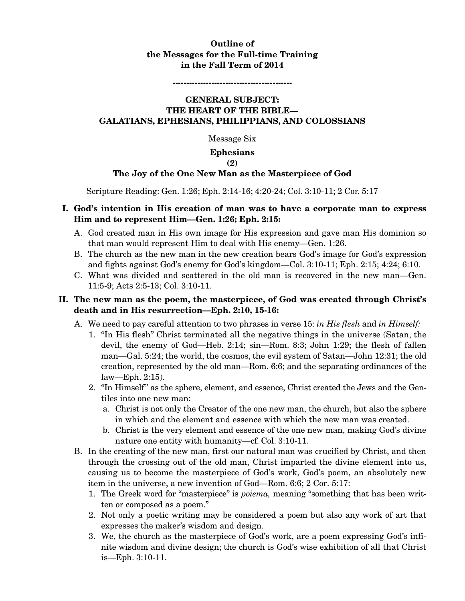## **Outline of the Messages for the Full-time Training in the Fall Term of 2014**

**-------------------------------------------** 

### **GENERAL SUBJECT: THE HEART OF THE BIBLE— GALATIANS, EPHESIANS, PHILIPPIANS, AND COLOSSIANS**

Message Six

#### **Ephesians**

#### **(2)**

#### **The Joy of the One New Man as the Masterpiece of God**

Scripture Reading: Gen. 1:26; Eph. 2:14-16; 4:20-24; Col. 3:10-11; 2 Cor. 5:17

### **I. God's intention in His creation of man was to have a corporate man to express Him and to represent Him—Gen. 1:26; Eph. 2:15:**

- A. God created man in His own image for His expression and gave man His dominion so that man would represent Him to deal with His enemy—Gen. 1:26.
- B. The church as the new man in the new creation bears God's image for God's expression and fights against God's enemy for God's kingdom—Col. 3:10-11; Eph. 2:15; 4:24; 6:10.
- C. What was divided and scattered in the old man is recovered in the new man—Gen. 11:5-9; Acts 2:5-13; Col. 3:10-11.

### **II. The new man as the poem, the masterpiece, of God was created through Christ's death and in His resurrection—Eph. 2:10, 15-16:**

- A. We need to pay careful attention to two phrases in verse 15: *in His flesh* and *in Himself:*
	- 1. "In His flesh" Christ terminated all the negative things in the universe (Satan, the devil, the enemy of God—Heb. 2:14; sin—Rom. 8:3; John 1:29; the flesh of fallen man—Gal. 5:24; the world, the cosmos, the evil system of Satan—John 12:31; the old creation, represented by the old man—Rom. 6:6; and the separating ordinances of the law—Eph. 2:15).
	- 2. "In Himself" as the sphere, element, and essence, Christ created the Jews and the Gentiles into one new man:
		- a. Christ is not only the Creator of the one new man, the church, but also the sphere in which and the element and essence with which the new man was created.
		- b. Christ is the very element and essence of the one new man, making God's divine nature one entity with humanity—cf. Col. 3:10-11.
- B. In the creating of the new man, first our natural man was crucified by Christ, and then through the crossing out of the old man, Christ imparted the divine element into us, causing us to become the masterpiece of God's work, God's poem, an absolutely new item in the universe, a new invention of God—Rom. 6:6; 2 Cor. 5:17:
	- 1. The Greek word for "masterpiece" is *poiema,* meaning "something that has been written or composed as a poem."
	- 2. Not only a poetic writing may be considered a poem but also any work of art that expresses the maker's wisdom and design.
	- 3. We, the church as the masterpiece of God's work, are a poem expressing God's infinite wisdom and divine design; the church is God's wise exhibition of all that Christ is—Eph. 3:10-11.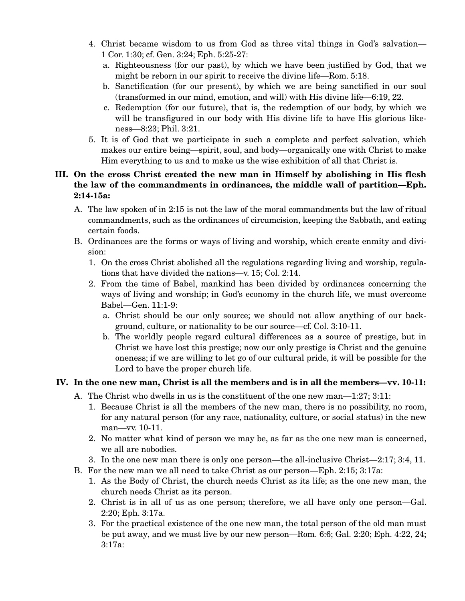- 4. Christ became wisdom to us from God as three vital things in God's salvation— 1 Cor. 1:30; cf. Gen. 3:24; Eph. 5:25-27:
	- a. Righteousness (for our past), by which we have been justified by God, that we might be reborn in our spirit to receive the divine life—Rom. 5:18.
	- b. Sanctification (for our present), by which we are being sanctified in our soul (transformed in our mind, emotion, and will) with His divine life—6:19, 22.
	- c. Redemption (for our future), that is, the redemption of our body, by which we will be transfigured in our body with His divine life to have His glorious likeness—8:23; Phil. 3:21.
- 5. It is of God that we participate in such a complete and perfect salvation, which makes our entire being—spirit, soul, and body—organically one with Christ to make Him everything to us and to make us the wise exhibition of all that Christ is.

## **III. On the cross Christ created the new man in Himself by abolishing in His flesh the law of the commandments in ordinances, the middle wall of partition—Eph. 2:14-15a:**

- A. The law spoken of in 2:15 is not the law of the moral commandments but the law of ritual commandments, such as the ordinances of circumcision, keeping the Sabbath, and eating certain foods.
- B. Ordinances are the forms or ways of living and worship, which create enmity and division:
	- 1. On the cross Christ abolished all the regulations regarding living and worship, regulations that have divided the nations—v. 15; Col. 2:14.
	- 2. From the time of Babel, mankind has been divided by ordinances concerning the ways of living and worship; in God's economy in the church life, we must overcome Babel—Gen. 11:1-9:
		- a. Christ should be our only source; we should not allow anything of our background, culture, or nationality to be our source—cf. Col. 3:10-11.
		- b. The worldly people regard cultural differences as a source of prestige, but in Christ we have lost this prestige; now our only prestige is Christ and the genuine oneness; if we are willing to let go of our cultural pride, it will be possible for the Lord to have the proper church life.

# **IV. In the one new man, Christ is all the members and is in all the members—vv. 10-11:**

- A. The Christ who dwells in us is the constituent of the one new man—1:27; 3:11:
	- 1. Because Christ is all the members of the new man, there is no possibility, no room, for any natural person (for any race, nationality, culture, or social status) in the new man—vv. 10-11.
	- 2. No matter what kind of person we may be, as far as the one new man is concerned, we all are nobodies.
	- 3. In the one new man there is only one person—the all-inclusive Christ—2:17; 3:4, 11.
- B. For the new man we all need to take Christ as our person—Eph. 2:15; 3:17a:
	- 1. As the Body of Christ, the church needs Christ as its life; as the one new man, the church needs Christ as its person.
	- 2. Christ is in all of us as one person; therefore, we all have only one person—Gal. 2:20; Eph. 3:17a.
	- 3. For the practical existence of the one new man, the total person of the old man must be put away, and we must live by our new person—Rom. 6:6; Gal. 2:20; Eph. 4:22, 24; 3:17a: